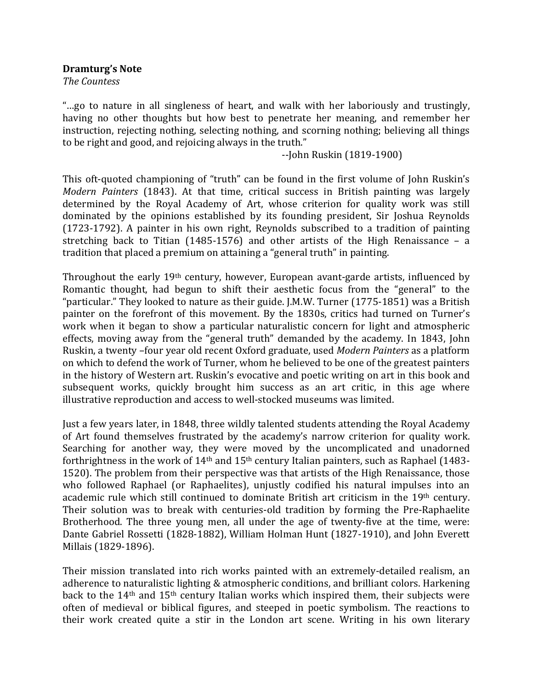**Dramturg's Note**

*The Countess*

"...go to nature in all singleness of heart, and walk with her laboriously and trustingly, having no other thoughts but how best to penetrate her meaning, and remember her instruction, rejecting nothing, selecting nothing, and scorning nothing; believing all things to be right and good, and rejoicing always in the truth."

‐‐John Ruskin (1819‐1900) 

This oft-quoted championing of "truth" can be found in the first volume of John Ruskin's *Modern Painters* (1843). At that time, critical success in British painting was largely determined by the Royal Academy of Art, whose criterion for quality work was still dominated by the opinions established by its founding president, Sir Joshua Reynolds (1723-1792). A painter in his own right, Reynolds subscribed to a tradition of painting stretching back to Titian  $(1485-1576)$  and other artists of the High Renaissance – a tradition that placed a premium on attaining a "general truth" in painting.

Throughout the early 19<sup>th</sup> century, however, European avant-garde artists, influenced by Romantic thought, had begun to shift their aesthetic focus from the "general" to the "particular." They looked to nature as their guide. J.M.W. Turner (1775-1851) was a British painter on the forefront of this movement. By the 1830s, critics had turned on Turner's work when it began to show a particular naturalistic concern for light and atmospheric effects, moving away from the "general truth" demanded by the academy. In 1843, John Ruskin, a twenty -four year old recent Oxford graduate, used *Modern Painters* as a platform on which to defend the work of Turner, whom he believed to be one of the greatest painters in the history of Western art. Ruskin's evocative and poetic writing on art in this book and subsequent works, quickly brought him success as an art critic, in this age where illustrative reproduction and access to well-stocked museums was limited.

Just a few years later, in 1848, three wildly talented students attending the Royal Academy of Art found themselves frustrated by the academy's narrow criterion for quality work. Searching for another way, they were moved by the uncomplicated and unadorned forthrightness in the work of  $14<sup>th</sup>$  and  $15<sup>th</sup>$  century Italian painters, such as Raphael (1483-1520). The problem from their perspective was that artists of the High Renaissance, those who followed Raphael (or Raphaelites), unjustly codified his natural impulses into an academic rule which still continued to dominate British art criticism in the 19<sup>th</sup> century. Their solution was to break with centuries-old tradition by forming the Pre-Raphaelite Brotherhood. The three young men, all under the age of twenty-five at the time, were: Dante Gabriel Rossetti (1828-1882), William Holman Hunt (1827-1910), and John Everett Millais (1829-1896).

Their mission translated into rich works painted with an extremely-detailed realism, an adherence to naturalistic lighting & atmospheric conditions, and brilliant colors. Harkening back to the  $14<sup>th</sup>$  and  $15<sup>th</sup>$  century Italian works which inspired them, their subjects were often of medieval or biblical figures, and steeped in poetic symbolism. The reactions to their work created quite a stir in the London art scene. Writing in his own literary